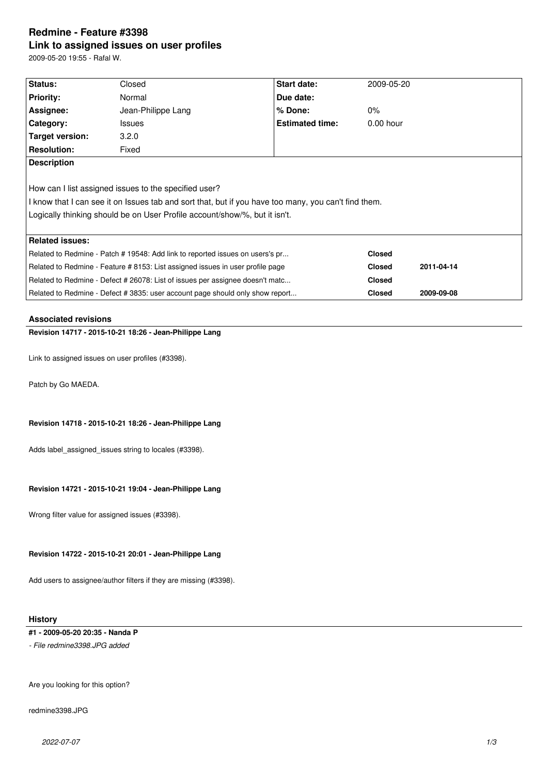# **Redmine - Feature #3398 Link to assigned issues on user profiles**

2009-05-20 19:55 - Rafal W.

| Status:                                                                                              | Closed             | Start date:            | 2009-05-20    |            |  |  |
|------------------------------------------------------------------------------------------------------|--------------------|------------------------|---------------|------------|--|--|
| <b>Priority:</b>                                                                                     | Normal             | Due date:              |               |            |  |  |
| Assignee:                                                                                            | Jean-Philippe Lang | $%$ Done:              | $0\%$         |            |  |  |
| Category:                                                                                            | <b>Issues</b>      | <b>Estimated time:</b> | $0.00$ hour   |            |  |  |
| Target version:                                                                                      | 3.2.0              |                        |               |            |  |  |
| <b>Resolution:</b>                                                                                   | Fixed              |                        |               |            |  |  |
| <b>Description</b>                                                                                   |                    |                        |               |            |  |  |
|                                                                                                      |                    |                        |               |            |  |  |
| How can I list assigned issues to the specified user?                                                |                    |                        |               |            |  |  |
| I know that I can see it on Issues tab and sort that, but if you have too many, you can't find them. |                    |                        |               |            |  |  |
| Logically thinking should be on User Profile account/show/%, but it isn't.                           |                    |                        |               |            |  |  |
|                                                                                                      |                    |                        |               |            |  |  |
| <b>Related issues:</b>                                                                               |                    |                        |               |            |  |  |
| Related to Redmine - Patch # 19548: Add link to reported issues on users's pr                        |                    |                        | <b>Closed</b> |            |  |  |
| Related to Redmine - Feature # 8153: List assigned issues in user profile page                       |                    |                        | <b>Closed</b> | 2011-04-14 |  |  |
| Related to Redmine - Defect # 26078: List of issues per assignee doesn't matc                        |                    |                        | <b>Closed</b> |            |  |  |
| Related to Redmine - Defect # 3835: user account page should only show report                        |                    |                        | <b>Closed</b> | 2009-09-08 |  |  |

# **Associated revisions**

**Revision 14717 - 2015-10-21 18:26 - Jean-Philippe Lang**

Link to assigned issues on user profiles (#3398).

Patch by Go MAEDA.

# **Revision 14718 - 2015-10-21 18:26 - Jean-Philippe Lang**

Adds label assigned issues string to locales (#3398).

# **Revision 14721 - 2015-10-21 19:04 - Jean-Philippe Lang**

Wrong filter value for assigned issues (#3398).

# **Revision 14722 - 2015-10-21 20:01 - Jean-Philippe Lang**

Add users to assignee/author filters if they are missing (#3398).

# **History**

# **#1 - 2009-05-20 20:35 - Nanda P**

*- File redmine3398.JPG added*

Are you looking for this option?

redmine3398.JPG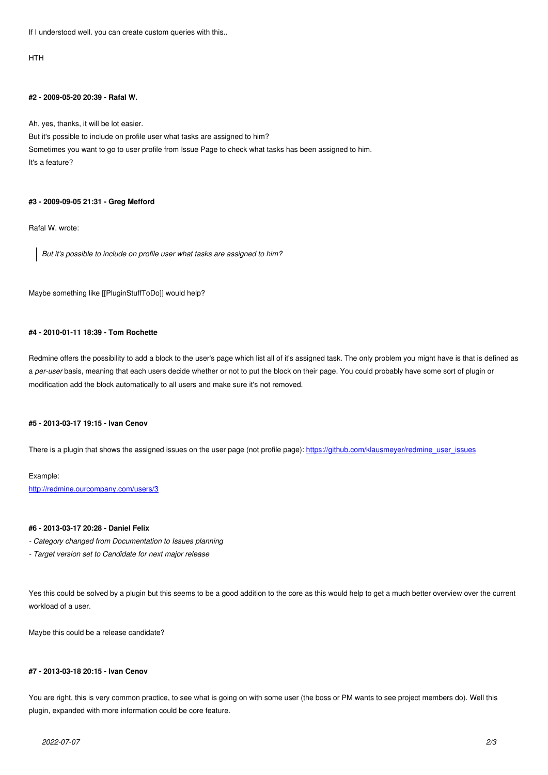# **#2 - 2009-05-20 20:39 - Rafal W.**

Ah, yes, thanks, it will be lot easier.

But it's possible to include on profile user what tasks are assigned to him? Sometimes you want to go to user profile from Issue Page to check what tasks has been assigned to him. It's a feature?

# **#3 - 2009-09-05 21:31 - Greg Mefford**

Rafal W. wrote:

*But it's possible to include on profile user what tasks are assigned to him?*

Maybe something like [[PluginStuffToDo]] would help?

#### **#4 - 2010-01-11 18:39 - Tom Rochette**

Redmine offers the possibility to add a block to the user's page which list all of it's assigned task. The only problem you might have is that is defined as a *per-user* basis, meaning that each users decide whether or not to put the block on their page. You could probably have some sort of plugin or modification add the block automatically to all users and make sure it's not removed.

### **#5 - 2013-03-17 19:15 - Ivan Cenov**

There is a plugin that shows the assigned issues on the user page (not profile page): https://github.com/klausmeyer/redmine\_user\_issues

#### Example:

http://redmine.ourcompany.com/users/3

### **#6 - 2013-03-17 20:28 - Daniel Felix**

- *[Category changed from Documentation](http://redmine.ourcompany.com/users/3) to Issues planning*
- *Target version set to Candidate for next major release*

Yes this could be solved by a plugin but this seems to be a good addition to the core as this would help to get a much better overview over the current workload of a user.

Maybe this could be a release candidate?

# **#7 - 2013-03-18 20:15 - Ivan Cenov**

You are right, this is very common practice, to see what is going on with some user (the boss or PM wants to see project members do). Well this plugin, expanded with more information could be core feature.